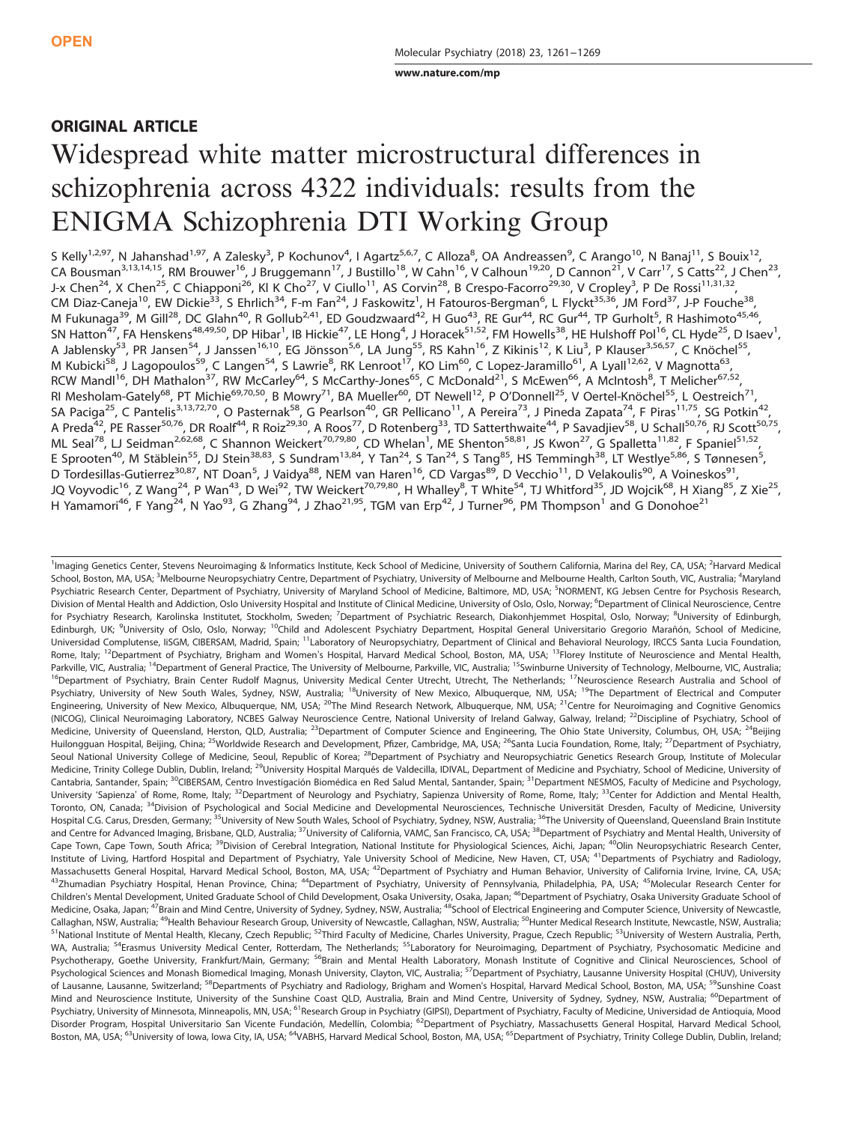[www.nature.com/mp](http://www.nature.com/mp)

# ORIGINAL ARTICLE Widespread white matter microstructural differences in schizophrenia across 4322 individuals: results from the ENIGMA Schizophrenia DTI Working Group

S Kelly<sup>1,2,97</sup>, N Jahanshad<sup>1,97</sup>, A Zalesky<sup>3</sup>, P Kochunov<sup>4</sup>, I Agartz<sup>5,6,7</sup>, C Alloza<sup>8</sup>, OA Andreassen<sup>9</sup>, C Arango<sup>10</sup>, N Banaj<sup>11</sup>, S Bouix<sup>12</sup>, CA Bousman<sup>3,13,14,15</sup>, RM Brouwer<sup>16</sup>, J Bruggemann<sup>17</sup>, J Bustillo<sup>18</sup>, W Cahn<sup>16</sup>, V Calhoun<sup>19,20</sup>, D Cannon<sup>21</sup>, V Carr<sup>17</sup>, S Catts<sup>22</sup>, J Chen<sup>23</sup>, J-x Chen<sup>24</sup>, X Chen<sup>25</sup>, C Chiapponi<sup>26</sup>, KI K Cho<sup>27</sup>, V Ciullo<sup>11</sup>, AS Corvin<sup>28</sup>, B Crespo-Facorro<sup>29,30</sup>, V Cropley<sup>3</sup>, P De Rossi<sup>11,31,32</sup>, CM Diaz-Caneja<sup>10</sup>, EW Dickie<sup>33</sup>, S Ehrlich<sup>34</sup>, F-m Fan<sup>24</sup>, J Faskowitz<sup>1</sup>, H Fatouros-Bergman<sup>6</sup>, L Flyckt<sup>35,36</sup>, JM Ford<sup>37</sup>, J-P Fouche<sup>38</sup>, M Fukunaga<sup>39</sup>, M Gill<sup>28</sup>, DC Glahn<sup>40</sup>, R Gollub<sup>2,41</sup>, ED Goudzwaard<sup>42</sup>, H Guo<sup>43</sup>, RE Gur<sup>44</sup>, RC Gur<sup>44</sup>, TP Gurholt<sup>5</sup>, R Hashimoto<sup>45,46</sup>, SN Hatton $^{47}$ , FA Henskens $^{48,49,50}$ , DP Hibar $^1$ , IB Hickie $^{47}$ , LE Hong $^4$ , J Horacek $^{51,52}$ , FM Howells $^{38}$ , HE Hulshoff Pol $^{16}$ , CL Hyde $^{25}$ , D Isaev $^1$ , A Jablensky<sup>53</sup>, PR Jansen<sup>54</sup>, J Janssen<sup>16,10</sup>, EG Jönsson<sup>5,6</sup>, LA Jung<sup>55</sup>, RS Kahn<sup>16</sup>, Z Kikinis<sup>12</sup>, K Liu<sup>3</sup>, P Klauser<sup>3,56,57</sup>, C Knöchel<sup>55</sup>, M Kubicki<sup>58</sup>, J Lagopoulos<sup>59</sup>, C Langen<sup>54</sup>, S Lawrie<sup>8</sup>, RK Lenroot<sup>17</sup>, KO Lim<sup>60</sup>, C Lopez-Jaramillo<sup>61</sup>, A Lyall<sup>12,62</sup>, V Magnotta<sup>63</sup>, RCW Mandl<sup>16</sup>, DH Mathalon<sup>37</sup>, RW McCarley<sup>64</sup>, S McCarthy-Jones<sup>65</sup>, C McDonald<sup>21</sup>, S McEwen<sup>66</sup>, A McIntosh<sup>8</sup>, T Melicher<sup>67,52</sup>, RI Mesholam-Gately<sup>68</sup>, PT Michie<sup>69,70,50</sup>, B Mowry<sup>71</sup>, BA Mueller<sup>60</sup>, DT Newell<sup>12</sup>, P O'Donnell<sup>25</sup>, V Oertel-Knöchel<sup>55</sup>, L Oestreich<sup>71</sup>, SA Paciga<sup>25</sup>, C Pantelis<sup>3,13,72,70</sup>, O Pasternak<sup>58</sup>, G Pearlson<sup>40</sup>, GR Pellicano<sup>11</sup>, A Pereira<sup>73</sup>, J Pineda Zapata<sup>74</sup>, F Piras<sup>11,75</sup>, SG Potkin<sup>42</sup>, A Preda<sup>42</sup>, PE Rasser<sup>50,76</sup>, DR Roalf<sup>44</sup>, R Roiz<sup>29,30</sup>, A Roos<sup>77</sup>, D Rotenberg<sup>33</sup>, TD Satterthwaite<sup>44</sup>, P Savadjiev<sup>58</sup>, U Schall<sup>50,76</sup>, RJ Scott<sup>50,75</sup>, ML Seal<sup>78</sup>, LJ Seidman<sup>2,62,68</sup>, C Shannon Weickert<sup>70,79,80</sup>, CD Whelan<sup>1</sup>, ME Shenton<sup>58,81</sup>, JS Kwon<sup>27</sup>, G Spalletta<sup>11,82</sup>, F Spaniel<sup>51,52</sup>, E Sprooten<sup>40</sup>, M Stäblein<sup>55</sup>, DJ Stein<sup>38,83</sup>, S Sundram<sup>13,84</sup>, Y Tan<sup>24</sup>, S Tan<sup>24</sup>, S Tang<sup>85</sup>, HS Temmingh<sup>38</sup>, LT Westlye<sup>5,86</sup>, S Tønnesen<sup>5</sup>, D Tordesillas-Gutierrez<sup>30,87</sup>, NT Doan<sup>5</sup>, J Vaidya<sup>88</sup>, NEM van Haren<sup>16</sup>, CD Vargas<sup>89</sup>, D Vecchio<sup>11</sup>, D Velakoulis<sup>90</sup>, A Voineskos<sup>91</sup>, JQ Voyvodic<sup>16</sup>, Z Wang<sup>24</sup>, P Wan<sup>43</sup>, D Wei<sup>92</sup>, TW Weickert<sup>70,79,80</sup>, H Whalley<sup>8</sup>, T White<sup>54</sup>, TJ Whitford<sup>35</sup>, JD Wojcik<sup>68</sup>, H Xiang<sup>85</sup>, Z Xie<sup>25</sup>, H Yamamori<sup>46</sup>, F Yang<sup>24</sup>, N Yao<sup>93</sup>, G Zhang<sup>94</sup>, J Zhao<sup>21,95</sup>, TGM van Erp<sup>42</sup>, J Turner<sup>96</sup>, PM Thompson<sup>1</sup> and G Donohoe<sup>21</sup>

<sup>1</sup>Imaging Genetics Center, Stevens Neuroimaging & Informatics Institute, Keck School of Medicine, University of Southern California, Marina del Rey, CA, USA; <sup>2</sup>Harvard Medical School, Boston, MA, USA; <sup>3</sup>Melbourne Neuropsychiatry Centre, Department of Psychiatry, University of Melbourne and Melbourne Health, Carlton South, VIC, Australia; <sup>4</sup>Maryland Psychiatric Research Center, Department of Psychiatry, University of Maryland School of Medicine, Baltimore, MD, USA; 5NORMENT, KG Jebsen Centre for Psychosis Research, Division of Mental Health and Addiction, Oslo University Hospital and Institute of Clinical Medicine, University of Oslo, Oslo, Norway; <sup>6</sup>Department of Clinical Neuroscience, Centre for Psychiatry Research, Karolinska Institutet, Stockholm, Sweden; <sup>7</sup>Department of Psychiatric Research, Diakonhjemmet Hospital, Oslo, Norway; <sup>8</sup>University of Edinburgh, Edinburgh, UK; <sup>9</sup>University of Oslo, Oslo, Norway; <sup>10</sup>Child and Adolescent Psychiatry Department, Hospital General Universitario Gregorio Marañón, School of Medicine, Universidad Complutense, IiSGM, CIBERSAM, Madrid, Spain; 11Laboratory of Neuropsychiatry, Department of Clinical and Behavioral Neurology, IRCCS Santa Lucia Foundation, Rome, Italy; <sup>12</sup>Department of Psychiatry, Brigham and Women's Hospital, Harvard Medical School, Boston, MA, USA; <sup>13</sup>Florey Institute of Neuroscience and Mental Health, Parkville, VIC, Australia; <sup>14</sup>Department of General Practice, The University of Melbourne, Parkville, VIC, Australia; <sup>15</sup>Swinburne University of Technology, Melbourne, VIC, Australia; <sup>16</sup>Department of Psychiatry, Brain Center Rudolf Magnus, University Medical Center Utrecht, Utrecht, The Netherlands; <sup>17</sup>Neuroscience Research Australia and School of Psychiatry, University of New South Wales, Sydney, NSW, Australia; <sup>18</sup>University of New Mexico, Albuquerque, NM, USA; <sup>19</sup>The Department of Electrical and Computer Engineering, University of New Mexico, Albuquerque, NM, USA; <sup>20</sup>The Mind Research Network, Albuquerque, NM, USA; <sup>21</sup>Centre for Neuroimaging and Cognitive Genomics (NICOG), Clinical Neuroimaging Laboratory, NCBES Galway Neuroscience Centre, National University of Ireland Galway, Galway, Ireland; <sup>22</sup>Discipline of Psychiatry, School of Medicine, University of Queensland, Herston, QLD, Australia; <sup>23</sup>Department of Computer Science and Engineering, The Ohio State University, Columbus, OH, USA; <sup>24</sup>Beijing Huilongguan Hospital, Beijing, China; <sup>25</sup>Worldwide Research and Development, Pfizer, Cambridge, MA, USA; <sup>26</sup>Santa Lucia Foundation, Rome, Italy; <sup>27</sup>Department of Psychiatry, Seoul National University College of Medicine, Seoul, Republic of Korea; <sup>28</sup>Department of Psychiatry and Neuropsychiatric Genetics Research Group, Institute of Molecular Nedicine, Trinity College Dublin, Dublin, Ireland; <sup>29</sup>University Hospital Marqués de Valdecilla, IDIVAL, Department of Medicine and Psychiatry, School of Medicine, University of Cantabria, Santander, Spain; <sup>30</sup>CIBERSAM, Centro Investigación Biomédica en Red Salud Mental, Santander, Spain; <sup>31</sup>Department NESMOS, Faculty of Medicine and Psychology, University 'Sapienza' of Rome, Rome, Italy; <sup>32</sup>Department of Neurology and Psychiatry, Sapienza University of Rome, Rome, Italy; <sup>33</sup>Center for Addiction and Mental Health, Toronto, ON, Canada; <sup>34</sup>Division of Psychological and Social Medicine and Developmental Neurosciences, Technische Universität Dresden, Faculty of Medicine, University Hospital C.G. Carus, Dresden, Germany; <sup>35</sup>University of New South Wales, School of Psychiatry, Sydney, NSW, Australia; <sup>36</sup>The University of Queensland, Queensland Brain Institute and Centre for Advanced Imaging, Brisbane, QLD, Australia; <sup>37</sup>University of California, VAMC, San Francisco, CA, USA; <sup>38</sup>Department of Psychiatry and Mental Health, University of Cape Town, Cape Town, South Africa; <sup>39</sup>Division of Cerebral Integration, National Institute for Physiological Sciences, Aichi, Japan; <sup>40</sup>Olin Neuropsychiatric Research Center, Institute of Living, Hartford Hospital and Department of Psychiatry, Yale University School of Medicine, New Haven, CT, USA; <sup>41</sup>Departments of Psychiatry and Radiology, Massachusetts General Hospital, Harvard Medical School, Boston, MA, USA; <sup>42</sup>Department of Psychiatry and Human Behavior, University of California Irvine, Irvine, CA, USA; <sup>43</sup>Zhumadian Psychiatry Hospital, Henan Province, China; <sup>44</sup>Department of Psychiatry, University of Pennsylvania, Philadelphia, PA, USA; <sup>45</sup>Molecular Research Center for Children's Mental Development, United Graduate School of Child Development, Osaka University, Osaka, Japan; 46Department of Psychiatry, Osaka University Graduate School of Medicine, Osaka, Japan; <sup>47</sup>Brain and Mind Centre, University of Sydney, Sydney, NSW, Australia; <sup>48</sup>School of Electrical Engineering and Computer Science, University of Newcastle, Callaghan, NSW, Australia; <sup>49</sup>Health Behaviour Research Group, University of Newcastle, Callaghan, NSW, Australia; <sup>50</sup>Hunter Medical Research Institute, Newcastle, NSW, Australia; <sup>51</sup>National Institute of Mental Health, Klecany, Czech Republic; <sup>52</sup>Third Faculty of Medicine, Charles University, Prague, Czech Republic; <sup>53</sup>University of Western Australia, Perth, WA, Australia; <sup>54</sup>Erasmus University Medical Center, Rotterdam, The Netherlands; <sup>55</sup>Laboratory for Neuroimaging, Department of Psychiatry, Psychosomatic Medicine and Psychotherapy, Goethe University, Frankfurt/Main, Germany; <sup>56</sup>Brain and Mental Health Laboratory, Monash Institute of Cognitive and Clinical Neurosciences, School of Psychological Sciences and Monash Biomedical Imaging, Monash University, Clayton, VIC, Australia; <sup>57</sup>Department of Psychiatry, Lausanne University Hospital (CHUV), University of Lausanne, Lausanne, Switzerland; <sup>58</sup>Departments of Psychiatry and Radiology, Brigham and Women's Hospital, Harvard Medical School, Boston, MA, USA; <sup>59</sup>Sunshine Coast Mind and Neuroscience Institute, University of the Sunshine Coast QLD, Australia, Brain and Mind Centre, University of Sydney, Sydney, NSW, Australia; <sup>60</sup>Department of Psychiatry, University of Minnesota, Minneapolis, MN, USA; <sup>61</sup>Research Group in Psychiatry (GIPSI), Department of Psychiatry, Faculty of Medicine, Universidad de Antioquia, Mood Disorder Program, Hospital Universitario San Vicente Fundación, Medellín, Colombia; <sup>62</sup>Department of Psychiatry, Massachusetts General Hospital, Harvard Medical School, Boston, MA, USA; <sup>63</sup>University of Iowa, Iowa City, IA, USA; <sup>64</sup>VABHS, Harvard Medical School, Boston, MA, USA; <sup>65</sup>Department of Psychiatry, Trinity College Dublin, Dublin, Ireland;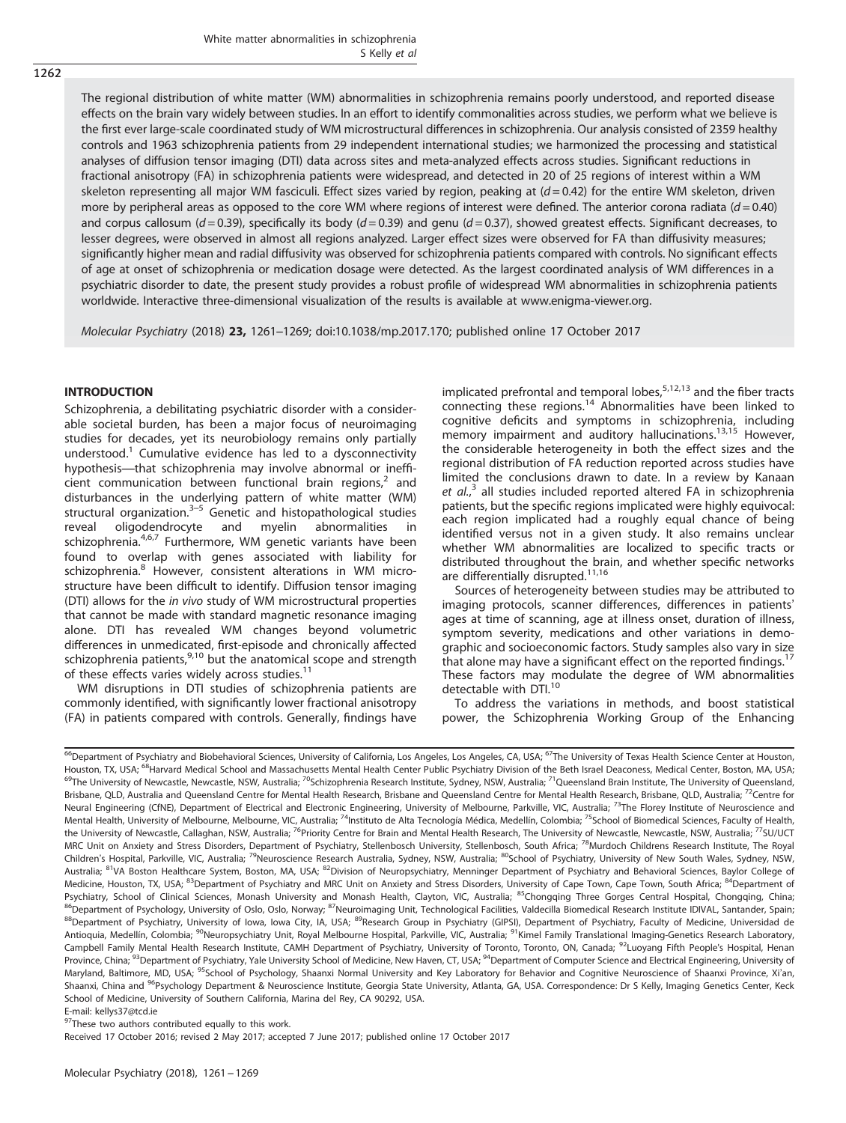The regional distribution of white matter (WM) abnormalities in schizophrenia remains poorly understood, and reported disease effects on the brain vary widely between studies. In an effort to identify commonalities across studies, we perform what we believe is the first ever large-scale coordinated study of WM microstructural differences in schizophrenia. Our analysis consisted of 2359 healthy controls and 1963 schizophrenia patients from 29 independent international studies; we harmonized the processing and statistical analyses of diffusion tensor imaging (DTI) data across sites and meta-analyzed effects across studies. Significant reductions in fractional anisotropy (FA) in schizophrenia patients were widespread, and detected in 20 of 25 regions of interest within a WM skeleton representing all major WM fasciculi. Effect sizes varied by region, peaking at  $(d = 0.42)$  for the entire WM skeleton, driven more by peripheral areas as opposed to the core WM where regions of interest were defined. The anterior corona radiata ( $d = 0.40$ ) and corpus callosum ( $d = 0.39$ ), specifically its body ( $d = 0.39$ ) and genu ( $d = 0.37$ ), showed greatest effects. Significant decreases, to lesser degrees, were observed in almost all regions analyzed. Larger effect sizes were observed for FA than diffusivity measures; significantly higher mean and radial diffusivity was observed for schizophrenia patients compared with controls. No significant effects of age at onset of schizophrenia or medication dosage were detected. As the largest coordinated analysis of WM differences in a psychiatric disorder to date, the present study provides a robust profile of widespread WM abnormalities in schizophrenia patients worldwide. Interactive three-dimensional visualization of the results is available at<www.enigma-viewer.org>.

Molecular Psychiatry (2018) 23, 1261–1269; doi[:10.1038/mp.2017.170](http://dx.doi.org/10.1038/mp.2017.170); published online 17 October 2017

## INTRODUCTION

Schizophrenia, a debilitating psychiatric disorder with a considerable societal burden, has been a major focus of neuroimaging studies for decades, yet its neurobiology remains only partially understood.<sup>[1](#page-7-0)</sup> Cumulative evidence has led to a dysconnectivity hypothesis—that schizophrenia may involve abnormal or inefficient communication between functional brain regions, $2$  and disturbances in the u[nde](#page-7-0)rlying pattern of white matter (WM) structural organization. $3-5$  Genetic and histopathological studies reveal oligodendrocyte and myelin abnormalities in schizophrenia.<sup>[4](#page-7-0),[6](#page-7-0),[7](#page-7-0)</sup> Furthermore, WM genetic variants have been found to overlap with genes associated with liability for schizophrenia.<sup>[8](#page-7-0)</sup> However, consistent alterations in WM microstructure have been difficult to identify. Diffusion tensor imaging (DTI) allows for the in vivo study of WM microstructural properties that cannot be made with standard magnetic resonance imaging alone. DTI has revealed WM changes beyond volumetric differences in unmedicated, first-episode and chronically affected subscribed in dimensioned, more episode and cindificantly ariected<br>schizophrenia patients,<sup>[9](#page-7-0),[10](#page-7-0)</sup> but the anatomical scope and strength of these effects varies widely across studies.<sup>1</sup>

WM disruptions in DTI studies of schizophrenia patients are commonly identified, with significantly lower fractional anisotropy (FA) in patients compared with controls. Generally, findings have implicated prefrontal and temporal lobes, $5,12,13$  $5,12,13$  $5,12,13$  and the fiber tracts connecting these regions.<sup>[14](#page-7-0)</sup> Abnormalities have been linked to cognitive deficits and symptoms in schizophrenia, including memory impairment and auditory hallucinations.<sup>[13](#page-7-0),[15](#page-7-0)</sup> However, the considerable heterogeneity in both the effect sizes and the regional distribution of FA reduction reported across studies have limited the conclusions drawn to date. In a review by Kanaan et al.,<sup>[3](#page-7-0)</sup> all studies included reported altered FA in schizophrenia patients, but the specific regions implicated were highly equivocal: each region implicated had a roughly equal chance of being identified versus not in a given study. It also remains unclear whether WM abnormalities are localized to specific tracts or distributed throughout the brain, and whether specific networks are differentially disrupted.<sup>[11](#page-7-0),[16](#page-7-0)</sup>

Sources of heterogeneity between studies may be attributed to imaging protocols, scanner differences, differences in patients' ages at time of scanning, age at illness onset, duration of illness, symptom severity, medications and other variations in demographic and socioeconomic factors. Study samples also vary in size that alone may have a significant effect on the reported findings.<sup>[17](#page-8-0)</sup> These factors may modulate the degree of WM abnormalities detectable with DTI.<sup>[10](#page-7-0)</sup>

To address the variations in methods, and boost statistical power, the Schizophrenia Working Group of the Enhancing

<sup>97</sup>These two authors contributed equally to this work.

Received 17 October 2016; revised 2 May 2017; accepted 7 June 2017; published online 17 October 2017

1262

<sup>&</sup>lt;sup>66</sup>Department of Psychiatry and Biobehavioral Sciences, University of California, Los Angeles, Los Angeles, CA, USA; <sup>67</sup>The University of Texas Health Science Center at Houston, Houston, TX, USA;<sup>68</sup>Harvard Medical School and Massachusetts Mental Health Center Public Psychiatry Division of the Beth Israel Deaconess, Medical Center, Boston, MA, USA; <sup>69</sup>The University of Newcastle, Newcastle, NSW, Australia; <sup>70</sup>Schizophrenia Research Institute, Sydney, NSW, Australia; <sup>71</sup>Queensland Brain Institute, The University of Queensland, Brisbane, QLD, Australia and Queensland Centre for Mental Health Research, Brisbane and Queensland Centre for Mental Health Research, Brisbane, QLD, Australia; <sup>72</sup>Centre for Neural Engineering (CfNE), Department of Electrical and Electronic Engineering, University of Melbourne, Parkville, VIC, Australia; <sup>73</sup>The Florey Institute of Neuroscience and Mental Health, University of Melbourne, Melbourne, VIC, Australia; <sup>74</sup>Instituto de Alta Tecnología Médica, Medellín, Colombia; <sup>75</sup>School of Biomedical Sciences, Faculty of Health, the University of Newcastle, Callaghan, NSW, Australia; <sup>76</sup>Priority Centre for Brain and Mental Health Research, The University of Newcastle, Newcastle, NSW, Australia; <sup>77</sup>SU/UCT MRC Unit on Anxiety and Stress Disorders, Department of Psychiatry, Stellenbosch University, Stellenbosch, South Africa; 78Murdoch Childrens Research Institute, The Royal Children's Hospital, Parkville, VIC, Australia; <sup>79</sup>Neuroscience Research Australia, Sydney, NSW, Australia; <sup>80</sup>School of Psychiatry, University of New South Wales, Sydney, NSW, Australia; <sup>81</sup>VA Boston Healthcare System, Boston, MA, USA; <sup>82</sup>Division of Neuropsychiatry, Menninger Department of Psychiatry and Behavioral Sciences, Baylor College of Medicine, Houston, TX, USA; <sup>83</sup>Department of Psychiatry and MRC Unit on Anxiety and Stress Disorders, University of Cape Town, Cape Town, South Africa; <sup>84</sup>Department of Psychiatry, School of Clinical Sciences, Monash University and Monash Health, Clayton, VIC, Australia; <sup>85</sup>Chongqing Three Gorges Central Hospital, Chongqing, China; <sup>86</sup>Department of Psychology, University of Oslo, Oslo, Norway; <sup>87</sup>Neuroimaging Unit, Technological Facilities, Valdecilla Biomedical Research Institute IDIVAL, Santander, Spain; <sup>88</sup>Department of Psychiatry, University of Iowa, Iowa City, IA, USA; <sup>89</sup>Research Group in Psychiatry (GIPSI), Department of Psychiatry, Faculty of Medicine, Universidad de Antioquia, Medellín, Colombia; <sup>90</sup>Neuropsychiatry Unit, Royal Melbourne Hospital, Parkville, VIC, Australia; <sup>91</sup>Kimel Family Translational Imaging-Genetics Research Laboratory, Campbell Family Mental Health Research Institute, CAMH Department of Psychiatry, University of Toronto, Toronto, ON, Canada; <sup>92</sup>Luoyang Fifth People's Hospital, Henan Province, China; <sup>93</sup>Department of Psychiatry, Yale University School of Medicine, New Haven, CT, USA; <sup>94</sup>Department of Computer Science and Electrical Engineering, University of Maryland, Baltimore, MD, USA; <sup>95</sup>School of Psychology, Shaanxi Normal University and Key Laboratory for Behavior and Cognitive Neuroscience of Shaanxi Province, Xi'an, Shaanxi, China and <sup>96</sup>Psychology Department & Neuroscience Institute, Georgia State University, Atlanta, GA, USA. Correspondence: Dr S Kelly, Imaging Genetics Center, Keck School of Medicine, University of Southern California, Marina del Rey, CA 90292, USA. E-mail: [kellys37@tcd.ie](mailto:kellys37@tcd.ie)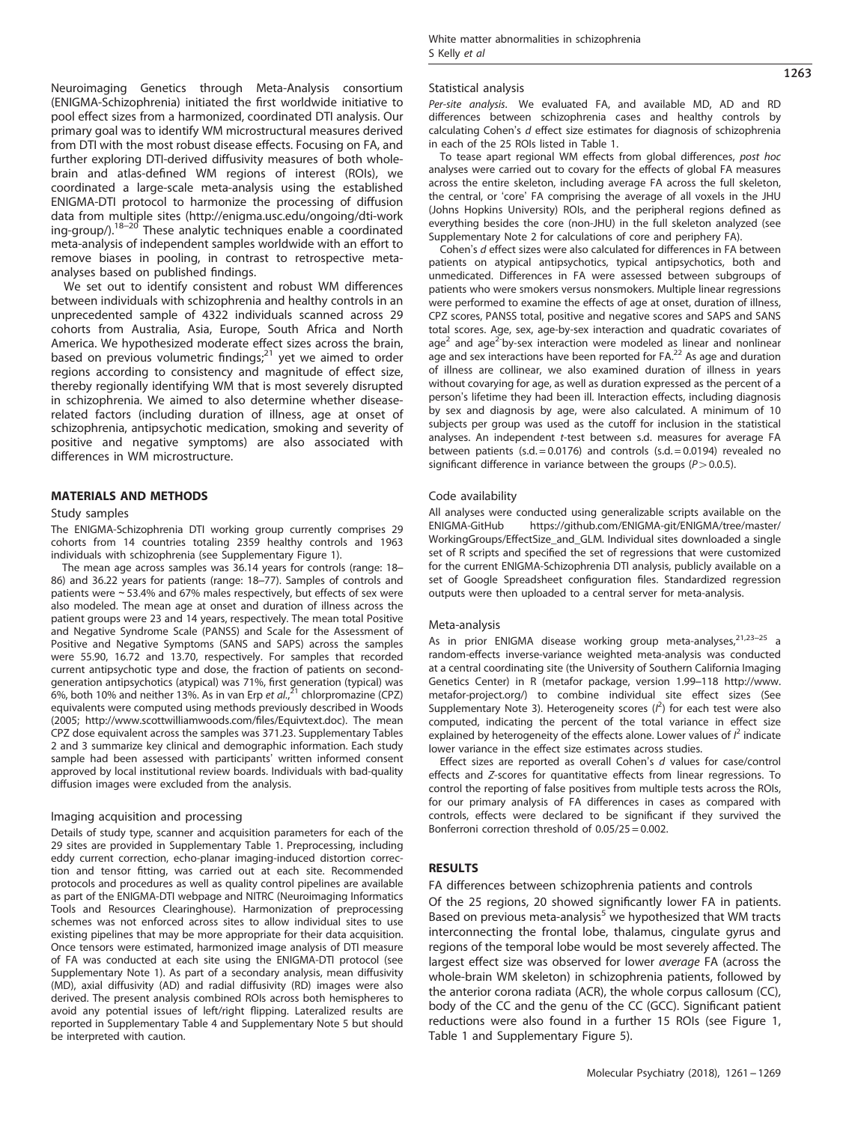Neuroimaging Genetics through Meta-Analysis consortium (ENIGMA-Schizophrenia) initiated the first worldwide initiative to pool effect sizes from a harmonized, coordinated DTI analysis. Our primary goal was to identify WM microstructural measures derived from DTI with the most robust disease effects. Focusing on FA, and further exploring DTI-derived diffusivity measures of both wholebrain and atlas-defined WM regions of interest (ROIs), we coordinated a large-scale meta-analysis using the established ENIGMA-DTI protocol to harmonize the processing of diffusion data from [multip](#page-8-0)le sites [\(http://enigma.usc.edu/ongoing/dti-work](http://enigma.usc.edu/ongoing/dti-working-group/) [ing-group/](http://enigma.usc.edu/ongoing/dti-working-group/)).18–<sup>20</sup> These analytic techniques enable a coordinated meta-analysis of independent samples worldwide with an effort to remove biases in pooling, in contrast to retrospective metaanalyses based on published findings.

We set out to identify consistent and robust WM differences between individuals with schizophrenia and healthy controls in an unprecedented sample of 4322 individuals scanned across 29 cohorts from Australia, Asia, Europe, South Africa and North America. We hypothesized moderate effect sizes across the brain, based on previous volumetric findings; $^{21}$  $^{21}$  $^{21}$  yet we aimed to order regions according to consistency and magnitude of effect size, thereby regionally identifying WM that is most severely disrupted in schizophrenia. We aimed to also determine whether diseaserelated factors (including duration of illness, age at onset of schizophrenia, antipsychotic medication, smoking and severity of positive and negative symptoms) are also associated with differences in WM microstructure.

# MATERIALS AND METHODS

## Study samples

The ENIGMA-Schizophrenia DTI working group currently comprises 29 cohorts from 14 countries totaling 2359 healthy controls and 1963 individuals with schizophrenia (see Supplementary Figure 1).

The mean age across samples was 36.14 years for controls (range: 18– 86) and 36.22 years for patients (range: 18–77). Samples of controls and patients were ∼ 53.4% and 67% males respectively, but effects of sex were also modeled. The mean age at onset and duration of illness across the patient groups were 23 and 14 years, respectively. The mean total Positive and Negative Syndrome Scale (PANSS) and Scale for the Assessment of Positive and Negative Symptoms (SANS and SAPS) across the samples were 55.90, 16.72 and 13.70, respectively. For samples that recorded current antipsychotic type and dose, the fraction of patients on secondgeneration antipsychotics (atypical) was 71%, first generation (typical) was 6%, both 10% and neither 13%. As in van Erp et al.,<sup>[21](#page-8-0)</sup> chlorpromazine (CPZ) equivalents were computed using methods previously described in Woods (2005; [http://www.scottwilliamwoods.com/](http://www.scottwilliamwoods.com/files/Equivtext.doc)files/Equivtext.doc). The mean CPZ dose equivalent across the samples was 371.23. Supplementary Tables 2 and 3 summarize key clinical and demographic information. Each study sample had been assessed with participants' written informed consent approved by local institutional review boards. Individuals with bad-quality diffusion images were excluded from the analysis.

#### Imaging acquisition and processing

Details of study type, scanner and acquisition parameters for each of the 29 sites are provided in Supplementary Table 1. Preprocessing, including eddy current correction, echo-planar imaging-induced distortion correction and tensor fitting, was carried out at each site. Recommended protocols and procedures as well as quality control pipelines are available as part of the ENIGMA-DTI webpage and NITRC (Neuroimaging Informatics Tools and Resources Clearinghouse). Harmonization of preprocessing schemes was not enforced across sites to allow individual sites to use existing pipelines that may be more appropriate for their data acquisition. Once tensors were estimated, harmonized image analysis of DTI measure of FA was conducted at each site using the ENIGMA-DTI protocol (see Supplementary Note 1). As part of a secondary analysis, mean diffusivity (MD), axial diffusivity (AD) and radial diffusivity (RD) images were also derived. The present analysis combined ROIs across both hemispheres to avoid any potential issues of left/right flipping. Lateralized results are reported in Supplementary Table 4 and Supplementary Note 5 but should be interpreted with caution.

#### Statistical analysis

Per-site analysis. We evaluated FA, and available MD, AD and RD differences between schizophrenia cases and healthy controls by calculating Cohen's d effect size estimates for diagnosis of schizophrenia in each of the 25 ROIs listed in [Table 1](#page-3-0).

To tease apart regional WM effects from global differences, post hoc analyses were carried out to covary for the effects of global FA measures across the entire skeleton, including average FA across the full skeleton, the central, or 'core' FA comprising the average of all voxels in the JHU (Johns Hopkins University) ROIs, and the peripheral regions defined as everything besides the core (non-JHU) in the full skeleton analyzed (see Supplementary Note 2 for calculations of core and periphery FA).

Cohen's d effect sizes were also calculated for differences in FA between patients on atypical antipsychotics, typical antipsychotics, both and unmedicated. Differences in FA were assessed between subgroups of patients who were smokers versus nonsmokers. Multiple linear regressions were performed to examine the effects of age at onset, duration of illness, CPZ scores, PANSS total, positive and negative scores and SAPS and SANS total scores. Age, sex, age-by-sex interaction and quadratic covariates of age<sup>2</sup> and age<sup>2-</sup>by-sex interaction were modeled as linear and nonlinear age and sex interactions have been reported for FA.<sup>22</sup> As age and duration of illness are collinear, we also examined duration of illness in years without covarying for age, as well as duration expressed as the percent of a person's lifetime they had been ill. Interaction effects, including diagnosis by sex and diagnosis by age, were also calculated. A minimum of 10 subjects per group was used as the cutoff for inclusion in the statistical analyses. An independent t-test between s.d. measures for average FA between patients (s.d.  $= 0.0176$ ) and controls (s.d.  $= 0.0194$ ) revealed no significant difference in variance between the groups ( $P > 0.0.5$ ).

#### Code availability

All analyses were conducted using generalizable scripts available on the ENIGMA-GitHub [https://github.com/ENIGMA-git/ENIGMA/tree/master/](https://github.com/ENIGMA-git/ENIGMA/tree/master/WorkingGroups/EffectSize_and_GLM) [WorkingGroups/EffectSize\\_and\\_GLM.](https://github.com/ENIGMA-git/ENIGMA/tree/master/WorkingGroups/EffectSize_and_GLM) Individual sites downloaded a single set of R scripts and specified the set of regressions that were customized for the current ENIGMA-Schizophrenia DTI analysis, publicly available on a set of Google Spreadsheet configuration files. Standardized regression outputs were then uploaded to a central server for meta-analysis.

#### Meta-analysis

As in prior ENIGMA disease working group meta-analyses,<sup>[21,23](#page-8-0)-25</sup> a random-effects inverse-variance weighted meta-analysis was conducted at a central coordinating site (the University of Southern California Imaging Genetics Center) in R (metafor package, version 1.99–118 [http://www.](http://www.metafor-project.org/) [metafor-project.org/](http://www.metafor-project.org/)) to combine individual site effect sizes (See Supplementary Note 3). Heterogeneity scores  $(l^2)$  for each test were also computed, indicating the percent of the total variance in effect size explained by heterogeneity of the effects alone. Lower values of  $I^2$  indicate lower variance in the effect size estimates across studies.

Effect sizes are reported as overall Cohen's d values for case/control effects and Z-scores for quantitative effects from linear regressions. To control the reporting of false positives from multiple tests across the ROIs, for our primary analysis of FA differences in cases as compared with controls, effects were declared to be significant if they survived the Bonferroni correction threshold of 0.05/25 = 0.002.

# RESULTS

#### FA differences between schizophrenia patients and controls

Of the 25 regions, 20 showed significantly lower FA in patients. Based on previous meta-analysis<sup>[5](#page-7-0)</sup> we hypothesized that WM tracts interconnecting the frontal lobe, thalamus, cingulate gyrus and regions of the temporal lobe would be most severely affected. The largest effect size was observed for lower average FA (across the whole-brain WM skeleton) in schizophrenia patients, followed by the anterior corona radiata (ACR), the whole corpus callosum (CC), body of the CC and the genu of the CC (GCC). Significant patient reductions were also found in a further 15 ROIs (see [Figure 1](#page-4-0), [Table 1](#page-3-0) and Supplementary Figure 5).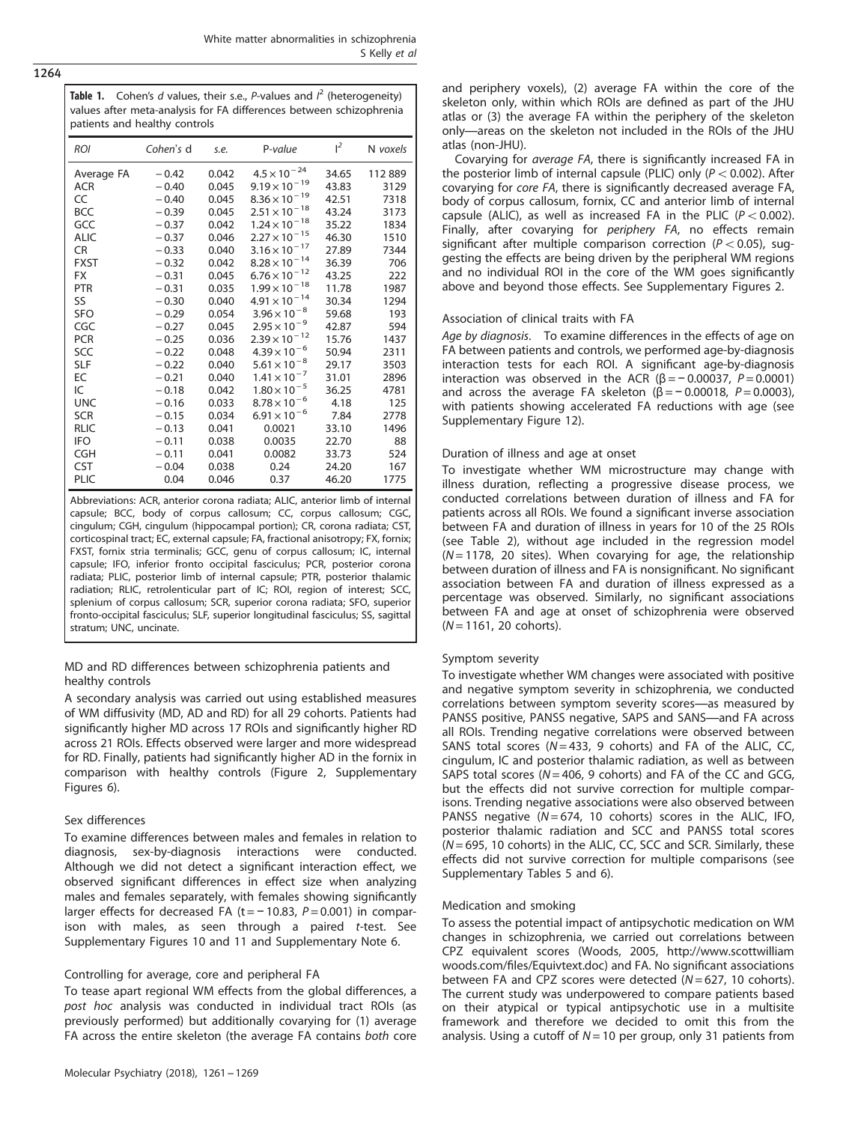<span id="page-3-0"></span>1264

**Table 1.** Cohen's d values, their s.e., P-values and  $I^2$  (heterogeneity) values after meta-analysis for EA differences between schizophrenia values after meta-analysis for FA differences between schizophrenia patients and healthy controls

| <b>ROI</b>  | Cohen's d | s.e.  | P-value                | $1^2$ | N voxels |
|-------------|-----------|-------|------------------------|-------|----------|
| Average FA  | $-0.42$   | 0.042 | $4.5 \times 10^{-24}$  | 34.65 | 112889   |
| <b>ACR</b>  | $-0.40$   | 0.045 | $9.19 \times 10^{-19}$ | 43.83 | 3129     |
| CC          | $-0.40$   | 0.045 | $8.36 \times 10^{-19}$ | 42.51 | 7318     |
| <b>BCC</b>  | $-0.39$   | 0.045 | $2.51 \times 10^{-18}$ | 43.24 | 3173     |
| GCC         | $-0.37$   | 0.042 | $1.24 \times 10^{-18}$ | 35.22 | 1834     |
| <b>ALIC</b> | $-0.37$   | 0.046 | $2.27 \times 10^{-15}$ | 46.30 | 1510     |
| <b>CR</b>   | $-0.33$   | 0.040 | $3.16 \times 10^{-17}$ | 27.89 | 7344     |
| <b>FXST</b> | $-0.32$   | 0.042 | $8.28 \times 10^{-14}$ | 36.39 | 706      |
| <b>FX</b>   | $-0.31$   | 0.045 | $6.76 \times 10^{-12}$ | 43.25 | 222      |
| <b>PTR</b>  | $-0.31$   | 0.035 | $1.99 \times 10^{-18}$ | 11.78 | 1987     |
| SS          | $-0.30$   | 0.040 | $4.91 \times 10^{-14}$ | 30.34 | 1294     |
| <b>SFO</b>  | $-0.29$   | 0.054 | $3.96 \times 10^{-8}$  | 59.68 | 193      |
| CGC         | $-0.27$   | 0.045 | $2.95 \times 10^{-9}$  | 42.87 | 594      |
| <b>PCR</b>  | $-0.25$   | 0.036 | $2.39 \times 10^{-12}$ | 15.76 | 1437     |
| <b>SCC</b>  | $-0.22$   | 0.048 | $4.39 \times 10^{-6}$  | 50.94 | 2311     |
| <b>SLF</b>  | $-0.22$   | 0.040 | $5.61 \times 10^{-8}$  | 29.17 | 3503     |
| EC          | $-0.21$   | 0.040 | $1.41 \times 10^{-7}$  | 31.01 | 2896     |
| IC          | $-0.18$   | 0.042 | $1.80 \times 10^{-5}$  | 36.25 | 4781     |
| <b>UNC</b>  | $-0.16$   | 0.033 | $8.78 \times 10^{-6}$  | 4.18  | 125      |
| <b>SCR</b>  | $-0.15$   | 0.034 | $6.91 \times 10^{-6}$  | 7.84  | 2778     |
| <b>RLIC</b> | $-0.13$   | 0.041 | 0.0021                 | 33.10 | 1496     |
| <b>IFO</b>  | $-0.11$   | 0.038 | 0.0035                 | 22.70 | 88       |
| <b>CGH</b>  | $-0.11$   | 0.041 | 0.0082                 | 33.73 | 524      |
| <b>CST</b>  | $-0.04$   | 0.038 | 0.24                   | 24.20 | 167      |
| PLIC        | 0.04      | 0.046 | 0.37                   | 46.20 | 1775     |

Abbreviations: ACR, anterior corona radiata; ALIC, anterior limb of internal capsule; BCC, body of corpus callosum; CC, corpus callosum; CGC, cingulum; CGH, cingulum (hippocampal portion); CR, corona radiata; CST, corticospinal tract; EC, external capsule; FA, fractional anisotropy; FX, fornix; FXST, fornix stria terminalis; GCC, genu of corpus callosum; IC, internal capsule; IFO, inferior fronto occipital fasciculus; PCR, posterior corona radiata; PLIC, posterior limb of internal capsule; PTR, posterior thalamic radiation; RLIC, retrolenticular part of IC; ROI, region of interest; SCC, splenium of corpus callosum; SCR, superior corona radiata; SFO, superior fronto-occipital fasciculus; SLF, superior longitudinal fasciculus; SS, sagittal stratum; UNC, uncinate.

# MD and RD differences between schizophrenia patients and healthy controls

A secondary analysis was carried out using established measures of WM diffusivity (MD, AD and RD) for all 29 cohorts. Patients had significantly higher MD across 17 ROIs and significantly higher RD across 21 ROIs. Effects observed were larger and more widespread for RD. Finally, patients had significantly higher AD in the fornix in comparison with healthy controls [\(Figure 2,](#page-5-0) Supplementary Figures 6).

# Sex differences

To examine differences between males and females in relation to diagnosis, sex-by-diagnosis interactions were conducted. Although we did not detect a significant interaction effect, we observed significant differences in effect size when analyzing males and females separately, with females showing significantly larger effects for decreased FA (t =  $-10.83$ ,  $P = 0.001$ ) in comparison with males, as seen through a paired t-test. See Supplementary Figures 10 and 11 and Supplementary Note 6.

# Controlling for average, core and peripheral FA

To tease apart regional WM effects from the global differences, a post hoc analysis was conducted in individual tract ROIs (as previously performed) but additionally covarying for (1) average FA across the entire skeleton (the average FA contains both core and periphery voxels), (2) average FA within the core of the skeleton only, within which ROIs are defined as part of the JHU atlas or (3) the average FA within the periphery of the skeleton only—areas on the skeleton not included in the ROIs of the JHU atlas (non-JHU).

Covarying for average FA, there is significantly increased FA in the posterior limb of internal capsule (PLIC) only ( $P < 0.002$ ). After covarying for core FA, there is significantly decreased average FA, body of corpus callosum, fornix, CC and anterior limb of internal capsule (ALIC), as well as increased FA in the PLIC ( $P < 0.002$ ). Finally, after covarying for periphery FA, no effects remain significant after multiple comparison correction ( $P < 0.05$ ), suggesting the effects are being driven by the peripheral WM regions and no individual ROI in the core of the WM goes significantly above and beyond those effects. See Supplementary Figures 2.

# Association of clinical traits with FA

Age by diagnosis. To examine differences in the effects of age on FA between patients and controls, we performed age-by-diagnosis interaction tests for each ROI. A significant age-by-diagnosis interaction was observed in the ACR  $(β = 0.00037, P = 0.0001)$ and across the average FA skeleton  $(\beta = -0.00018, P = 0.0003)$ , with patients showing accelerated FA reductions with age (see Supplementary Figure 12).

# Duration of illness and age at onset

To investigate whether WM microstructure may change with illness duration, reflecting a progressive disease process, we conducted correlations between duration of illness and FA for patients across all ROIs. We found a significant inverse association between FA and duration of illness in years for 10 of the 25 ROIs (see [Table 2\)](#page-5-0), without age included in the regression model  $(N = 1178, 20$  sites). When covarying for age, the relationship between duration of illness and FA is nonsignificant. No significant association between FA and duration of illness expressed as a percentage was observed. Similarly, no significant associations between FA and age at onset of schizophrenia were observed  $(N = 1161, 20$  cohorts).

# Symptom severity

To investigate whether WM changes were associated with positive and negative symptom severity in schizophrenia, we conducted correlations between symptom severity scores—as measured by PANSS positive, PANSS negative, SAPS and SANS—and FA across all ROIs. Trending negative correlations were observed between SANS total scores ( $N = 433$ , 9 cohorts) and FA of the ALIC, CC, cingulum, IC and posterior thalamic radiation, as well as between SAPS total scores ( $N = 406$ , 9 cohorts) and FA of the CC and GCG, but the effects did not survive correction for multiple comparisons. Trending negative associations were also observed between PANSS negative  $(N = 674, 10 \text{ cohorts})$  scores in the ALIC, IFO, posterior thalamic radiation and SCC and PANSS total scores  $(N = 695, 10$  cohorts) in the ALIC, CC, SCC and SCR. Similarly, these effects did not survive correction for multiple comparisons (see Supplementary Tables 5 and 6).

# Medication and smoking

To assess the potential impact of antipsychotic medication on WM changes in schizophrenia, we carried out correlations between CPZ equivalent scores (Woods, 2005, [http://www.scottwilliam](http://www.scottwilliamwoods.com/files/Equivtext.doc) woods.com/fi[les/Equivtext.doc\)](http://www.scottwilliamwoods.com/files/Equivtext.doc) and FA. No significant associations between FA and CPZ scores were detected  $(N = 627, 10 \text{ cohorts}).$ The current study was underpowered to compare patients based on their atypical or typical antipsychotic use in a multisite framework and therefore we decided to omit this from the analysis. Using a cutoff of  $N = 10$  per group, only 31 patients from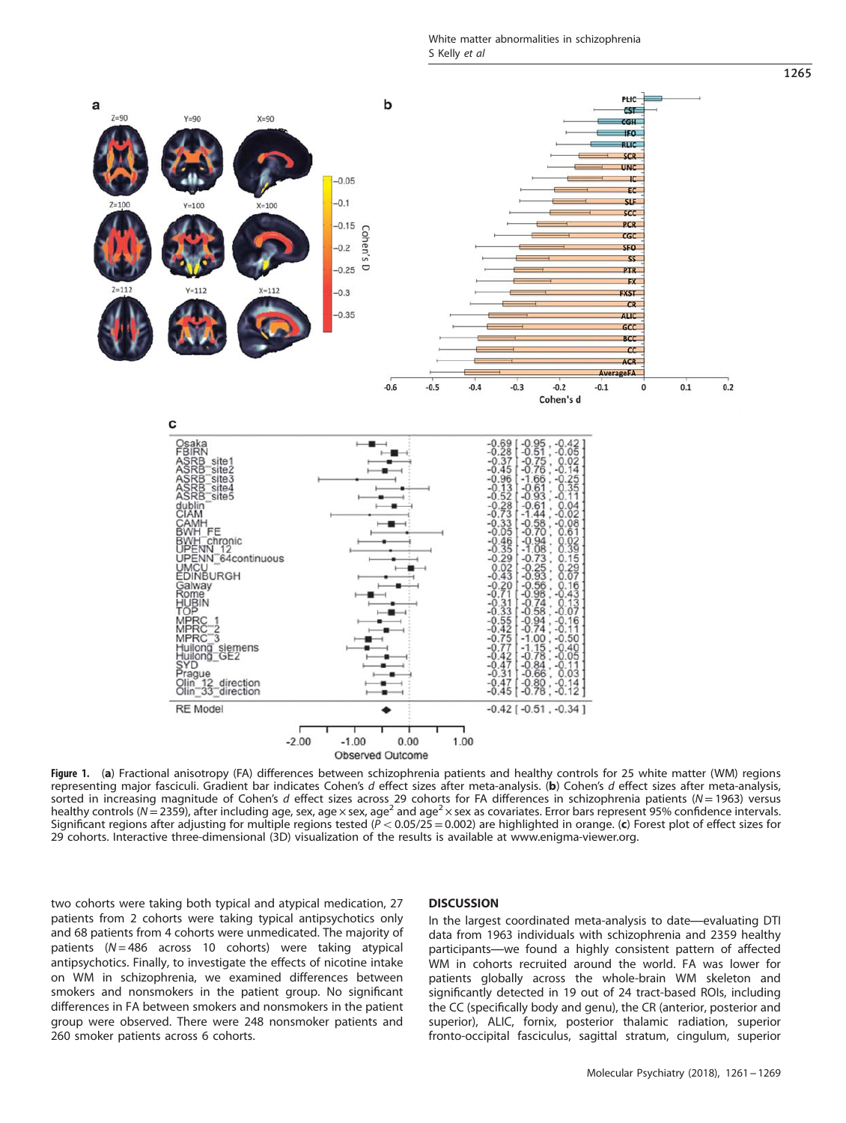White matter abnormalities in schizophrenia S Kelly et al

<span id="page-4-0"></span>

Figure 1. (a) Fractional anisotropy (FA) differences between schizophrenia patients and healthy controls for 25 white matter (WM) regions representing major fasciculi. Gradient bar indicates Cohen's d effect sizes after meta-analysis. (b) Cohen's d effect sizes after meta-analysis, sorted in increasing magnitude of Cohen's d effect sizes across 29 cohorts for FA differences in schizophrenia patients (N= 1963) versus healthy controls (N=2359), after including age, sex, age × sex, age<sup>2</sup> and age<sup>2</sup> × sex as covariates. Error bars represent 95% confidence intervals. Significant regions after adjusting for multiple regions tested ( $\bar{P}$  < 0.05/25 = 0.002) are highlighted in orange. (c) Forest plot of effect sizes for 29 cohorts. Interactive three-dimensional (3D) visualization of the results is available at<www.enigma-viewer.org>.

two cohorts were taking both typical and atypical medication, 27 patients from 2 cohorts were taking typical antipsychotics only and 68 patients from 4 cohorts were unmedicated. The majority of patients  $(N=486$  across 10 cohorts) were taking atypical antipsychotics. Finally, to investigate the effects of nicotine intake on WM in schizophrenia, we examined differences between smokers and nonsmokers in the patient group. No significant differences in FA between smokers and nonsmokers in the patient group were observed. There were 248 nonsmoker patients and 260 smoker patients across 6 cohorts.

#### **DISCUSSION**

In the largest coordinated meta-analysis to date—evaluating DTI data from 1963 individuals with schizophrenia and 2359 healthy participants—we found a highly consistent pattern of affected WM in cohorts recruited around the world. FA was lower for patients globally across the whole-brain WM skeleton and significantly detected in 19 out of 24 tract-based ROIs, including the CC (specifically body and genu), the CR (anterior, posterior and superior), ALIC, fornix, posterior thalamic radiation, superior fronto-occipital fasciculus, sagittal stratum, cingulum, superior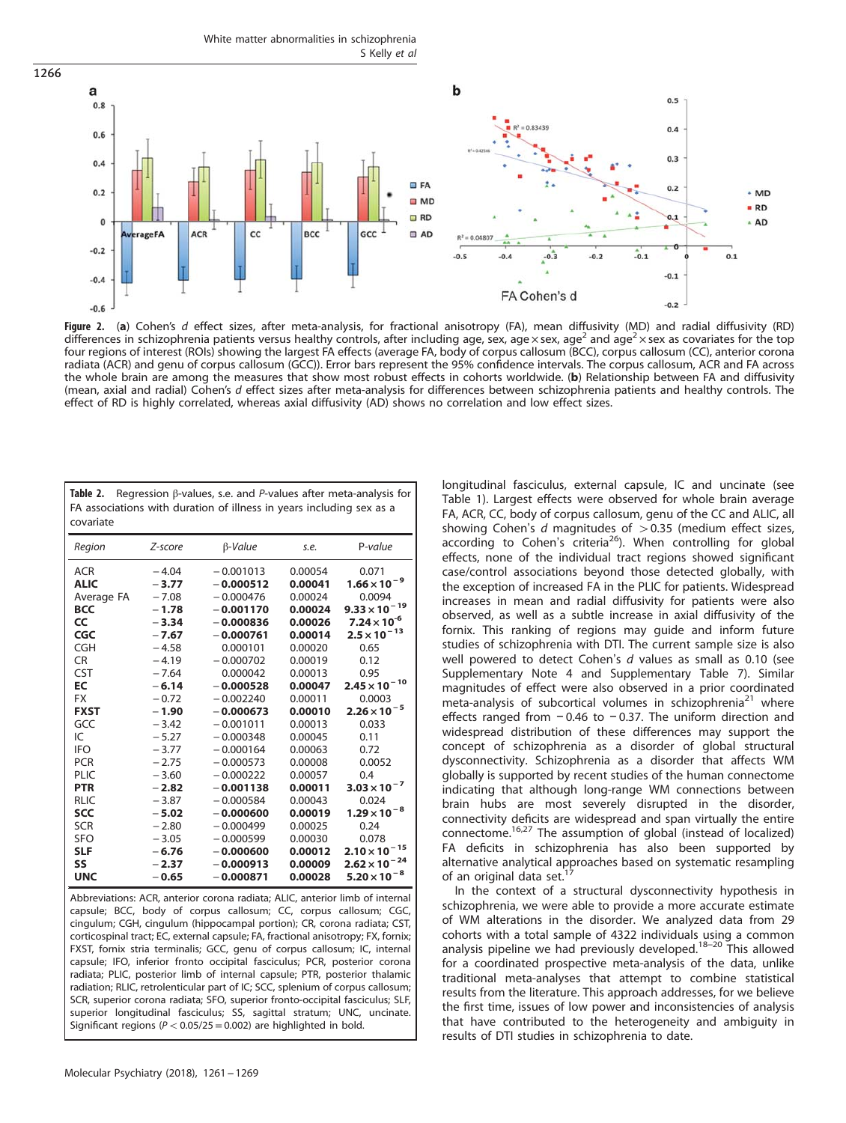White matter abnormalities in schizophrenia S Kelly et al

<span id="page-5-0"></span>

Figure 2. (a) Cohen's d effect sizes, after meta-analysis, for fractional anisotropy (FA), mean diffusivity (MD) and radial diffusivity (RD) differences in schizophrenia patients versus healthy controls, after including age, sex, age  $\times$  sex, age<sup>2</sup> and age<sup>2</sup>  $\times$  sex as covariates for the top four regions of interest (ROIs) showing the largest FA effects (average FA, body of corpus callosum (BCC), corpus callosum (CC), anterior corona radiata (ACR) and genu of corpus callosum (GCC)). Error bars represent the 95% confidence intervals. The corpus callosum, ACR and FA across the whole brain are among the measures that show most robust effects in cohorts worldwide. (b) Relationship between FA and diffusivity (mean, axial and radial) Cohen's d effect sizes after meta-analysis for differences between schizophrenia patients and healthy controls. The effect of RD is highly correlated, whereas axial diffusivity (AD) shows no correlation and low effect sizes.

| Regression $\beta$ -values, s.e. and P-values after meta-analysis for<br>Table 2.<br>FA associations with duration of illness in years including sex as a<br>covariate |         |             |         |                        |  |  |  |  |
|------------------------------------------------------------------------------------------------------------------------------------------------------------------------|---------|-------------|---------|------------------------|--|--|--|--|
| Region                                                                                                                                                                 | Z-score | β-Value     | s.e.    | P-value                |  |  |  |  |
| <b>ACR</b>                                                                                                                                                             | $-4.04$ | $-0.001013$ | 0.00054 | 0.071                  |  |  |  |  |
| <b>ALIC</b>                                                                                                                                                            | $-3.77$ | $-0.000512$ | 0.00041 | $1.66 \times 10^{-9}$  |  |  |  |  |
| Average FA                                                                                                                                                             | $-7.08$ | $-0.000476$ | 0.00024 | 0.0094                 |  |  |  |  |
| <b>BCC</b>                                                                                                                                                             | $-1.78$ | $-0.001170$ | 0.00024 | $9.33 \times 10^{-19}$ |  |  |  |  |
| CC                                                                                                                                                                     | $-3.34$ | $-0.000836$ | 0.00026 | $7.24 \times 10^{-6}$  |  |  |  |  |
| <b>CGC</b>                                                                                                                                                             | $-7.67$ | $-0.000761$ | 0.00014 | $2.5 \times 10^{-13}$  |  |  |  |  |
| <b>CGH</b>                                                                                                                                                             | $-4.58$ | 0.000101    | 0.00020 | 0.65                   |  |  |  |  |
| CR                                                                                                                                                                     | $-4.19$ | $-0.000702$ | 0.00019 | 0.12                   |  |  |  |  |
| <b>CST</b>                                                                                                                                                             | $-7.64$ | 0.000042    | 0.00013 | 0.95                   |  |  |  |  |
| EC                                                                                                                                                                     | $-6.14$ | $-0.000528$ | 0.00047 | $2.45 \times 10^{-10}$ |  |  |  |  |
| <b>FX</b>                                                                                                                                                              | $-0.72$ | $-0.002240$ | 0.00011 | 0.0003                 |  |  |  |  |
| <b>FXST</b>                                                                                                                                                            | $-1.90$ | $-0.000673$ | 0.00010 | $2.26 \times 10^{-5}$  |  |  |  |  |
| GCC                                                                                                                                                                    | $-3.42$ | $-0.001011$ | 0.00013 | 0.033                  |  |  |  |  |
| IC                                                                                                                                                                     | $-5.27$ | $-0.000348$ | 0.00045 | 0.11                   |  |  |  |  |
| <b>IFO</b>                                                                                                                                                             | $-3.77$ | $-0.000164$ | 0.00063 | 0.72                   |  |  |  |  |
| <b>PCR</b>                                                                                                                                                             | $-2.75$ | $-0.000573$ | 0.00008 | 0.0052                 |  |  |  |  |
| <b>PLIC</b>                                                                                                                                                            | $-3.60$ | $-0.000222$ | 0.00057 | 0.4                    |  |  |  |  |
| <b>PTR</b>                                                                                                                                                             | $-2.82$ | $-0.001138$ | 0.00011 | $3.03 \times 10^{-7}$  |  |  |  |  |
| <b>RLIC</b>                                                                                                                                                            | $-3.87$ | $-0.000584$ | 0.00043 | 0.024                  |  |  |  |  |
| <b>SCC</b>                                                                                                                                                             | $-5.02$ | $-0.000600$ | 0.00019 | $1.29 \times 10^{-8}$  |  |  |  |  |
| <b>SCR</b>                                                                                                                                                             | $-2.80$ | $-0.000499$ | 0.00025 | 0.24                   |  |  |  |  |
| <b>SFO</b>                                                                                                                                                             | $-3.05$ | $-0.000599$ | 0.00030 | 0.078                  |  |  |  |  |
| <b>SLF</b>                                                                                                                                                             | $-6.76$ | $-0.000600$ | 0.00012 | $2.10 \times 10^{-15}$ |  |  |  |  |
| SS                                                                                                                                                                     | $-2.37$ | $-0.000913$ | 0.00009 | $2.62 \times 10^{-24}$ |  |  |  |  |
| <b>UNC</b>                                                                                                                                                             | $-0.65$ | $-0.000871$ | 0.00028 | $5.20 \times 10^{-8}$  |  |  |  |  |

Abbreviations: ACR, anterior corona radiata; ALIC, anterior limb of internal capsule; BCC, body of corpus callosum; CC, corpus callosum; CGC, cingulum; CGH, cingulum (hippocampal portion); CR, corona radiata; CST, corticospinal tract; EC, external capsule; FA, fractional anisotropy; FX, fornix; FXST, fornix stria terminalis; GCC, genu of corpus callosum; IC, internal capsule; IFO, inferior fronto occipital fasciculus; PCR, posterior corona radiata; PLIC, posterior limb of internal capsule; PTR, posterior thalamic radiation; RLIC, retrolenticular part of IC; SCC, splenium of corpus callosum; SCR, superior corona radiata; SFO, superior fronto-occipital fasciculus; SLF, superior longitudinal fasciculus; SS, sagittal stratum; UNC, uncinate. Significant regions ( $P < 0.05/25 = 0.002$ ) are highlighted in bold.

longitudinal fasciculus, external capsule, IC and uncinate (see [Table 1\)](#page-3-0). Largest effects were observed for whole brain average FA, ACR, CC, body of corpus callosum, genu of the CC and ALIC, all showing Cohen's d magnitudes of  $>0.35$  (medium effect sizes, according to Cohen's criteria<sup>26</sup>). When controlling for global effects, none of the individual tract regions showed significant case/control associations beyond those detected globally, with the exception of increased FA in the PLIC for patients. Widespread increases in mean and radial diffusivity for patients were also observed, as well as a subtle increase in axial diffusivity of the fornix. This ranking of regions may guide and inform future studies of schizophrenia with DTI. The current sample size is also well powered to detect Cohen's d values as small as 0.10 (see Supplementary Note 4 and Supplementary Table 7). Similar magnitudes of effect were also observed in a prior coordinated meta-analysis of subcortical volumes in schizophrenia<sup>[21](#page-8-0)</sup> where effects ranged from − 0.46 to − 0.37. The uniform direction and widespread distribution of these differences may support the concept of schizophrenia as a disorder of global structural dysconnectivity. Schizophrenia as a disorder that affects WM globally is supported by recent studies of the human connectome indicating that although long-range WM connections between brain hubs are most severely disrupted in the disorder, connectivity deficits are widespread and span virtually the entire connectome[.16](#page-7-0)[,27](#page-8-0) The assumption of global (instead of localized) FA deficits in schizophrenia has also been supported by alternative analytical approaches based on systematic resampling of an original data set.<sup>1</sup>

In the context of a structural dysconnectivity hypothesis in schizophrenia, we were able to provide a more accurate estimate of WM alterations in the disorder. We analyzed data from 29 cohorts with a total sample of 4322 individuals using a common analysis pipeline we had previously developed.<sup>18–[20](#page-8-0)</sup> This allowed for a coordinated prospective meta-analysis of the data, unlike traditional meta-analyses that attempt to combine statistical results from the literature. This approach addresses, for we believe the first time, issues of low power and inconsistencies of analysis that have contributed to the heterogeneity and ambiguity in results of DTI studies in schizophrenia to date.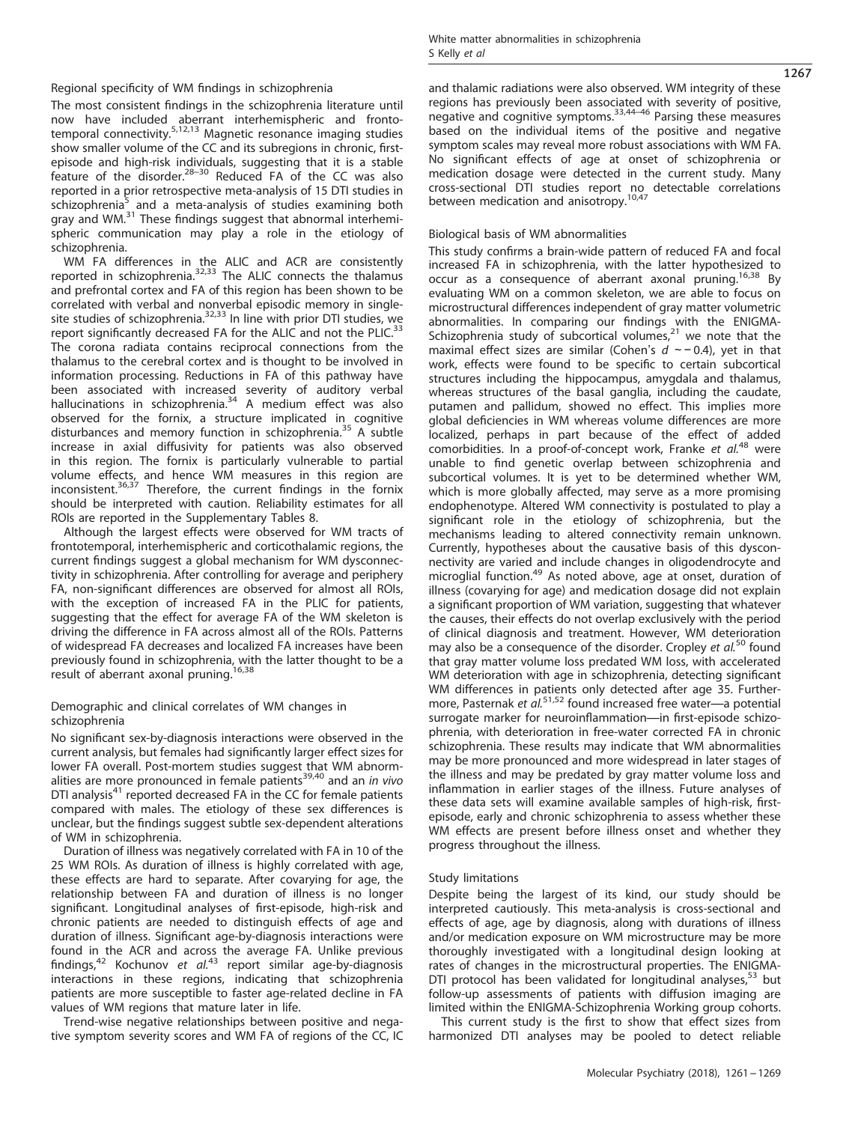Regional specificity of WM findings in schizophrenia

The most consistent findings in the schizophrenia literature until now have included aberrant interhemispheric and fronto-temporal connectivity.[5,12](#page-7-0),[13](#page-7-0) Magnetic resonance imaging studies show smaller volume of the CC and its subregions in chronic, firstepisode and high-risk individuals, suggesting that it is a stable feature of the disorder.[28](#page-8-0)–<sup>30</sup> Reduced FA of the CC was also reported in a prior retrospective meta-analysis of 15 DTI studies in schizophrenia<sup>[5](#page-7-0)</sup> and a meta-analysis of studies examining both gray and WM.[31](#page-8-0) These findings suggest that abnormal interhemispheric communication may play a role in the etiology of schizophrenia.

WM FA differences in the ALIC and ACR are consistently reported in schizophrenia.<sup>[32](#page-8-0),[33](#page-8-0)</sup> The ALIC connects the thalamus and prefrontal cortex and FA of this region has been shown to be correlated with verbal and nonverbal episodic memory in single-<br>site studies of schizophrenia.<sup>[32](#page-8-0),[33](#page-8-0)</sup> In line with prior DTI studies, we report significantly decreased FA for the ALIC and not the PLIC.<sup>[33](#page-8-0)</sup> The corona radiata contains reciprocal connections from the thalamus to the cerebral cortex and is thought to be involved in information processing. Reductions in FA of this pathway have been associated with increased severity of auditory verbal<br>hallucinations in schizophrenia.<sup>[34](#page-8-0)</sup> A medium effect was also observed for the fornix, a structure implicated in cognitive disturbances and memory function in schizophrenia.<sup>[35](#page-8-0)</sup> A subtle increase in axial diffusivity for patients was also observed in this region. The fornix is particularly vulnerable to partial volume effects, and hence WM measures in this region are<br>inconsistent.<sup>[36,37](#page-8-0)</sup> Therefore, the current findings in the fornix should be interpreted with caution. Reliability estimates for all ROIs are reported in the Supplementary Tables 8.

Although the largest effects were observed for WM tracts of frontotemporal, interhemispheric and corticothalamic regions, the current findings suggest a global mechanism for WM dysconnectivity in schizophrenia. After controlling for average and periphery FA, non-significant differences are observed for almost all ROIs, with the exception of increased FA in the PLIC for patients, suggesting that the effect for average FA of the WM skeleton is driving the difference in FA across almost all of the ROIs. Patterns of widespread FA decreases and localized FA increases have been previously found in schizophrenia, with the latter thought to be a<br>result of aberrant axonal pruning.<sup>[16,](#page-7-0)[38](#page-8-0)</sup>

Demographic and clinical correlates of WM changes in schizophrenia

No significant sex-by-diagnosis interactions were observed in the current analysis, but females had significantly larger effect sizes for lower FA overall. Post-mortem studies suggest that WM abnorm-alities are more pronounced in female patients<sup>[39,40](#page-8-0)</sup> and an in vivo DTI analysis<sup>[41](#page-8-0)</sup> reported decreased FA in the CC for female patients compared with males. The etiology of these sex differences is unclear, but the findings suggest subtle sex-dependent alterations of WM in schizophrenia.

Duration of illness was negatively correlated with FA in 10 of the 25 WM ROIs. As duration of illness is highly correlated with age, these effects are hard to separate. After covarying for age, the relationship between FA and duration of illness is no longer significant. Longitudinal analyses of first-episode, high-risk and chronic patients are needed to distinguish effects of age and duration of illness. Significant age-by-diagnosis interactions were found in the ACR and across the average FA. Unlike previous<br>findings,<sup>[42](#page-8-0)</sup> Kochunov *et al*.<sup>[43](#page-8-0)</sup> report similar age-by-diagnosis interactions in these regions, indicating that schizophrenia patients are more susceptible to faster age-related decline in FA values of WM regions that mature later in life.

Trend-wise negative relationships between positive and negative symptom severity scores and WM FA of regions of the CC, IC 1267

and thalamic radiations were also observed. WM integrity of these regions has previously been associated with severity of positive,<br>negative and cognitive symptoms.<sup>[33](#page-8-0),44–[46](#page-8-0)</sup> Parsing these measures based on the individual items of the positive and negative symptom scales may reveal more robust associations with WM FA. No significant effects of age at onset of schizophrenia or medication dosage were detected in the current study. Many cross-sectional DTI studies report no detectable correlations<br>between medication and anisotropy.<sup>[10](#page-7-0),[47](#page-8-0)</sup>

## Biological basis of WM abnormalities

This study confirms a brain-wide pattern of reduced FA and focal increased FA in schizophrenia, with the latter hypothesized to occur as a consequence of aberrant axonal pruning.[16](#page-7-0)[,38](#page-8-0) By evaluating WM on a common skeleton, we are able to focus on microstructural differences independent of gray matter volumetric abnormalities. In comparing our findings with the ENIGMA-Schizophrenia study of subcortical volumes, $21$  we note that the maximal effect sizes are similar (Cohen's  $d \sim$  − 0.4), yet in that work, effects were found to be specific to certain subcortical structures including the hippocampus, amygdala and thalamus, whereas structures of the basal ganglia, including the caudate, putamen and pallidum, showed no effect. This implies more global deficiencies in WM whereas volume differences are more localized, perhaps in part because of the effect of added comorbidities. In a proof-of-concept work, Franke et al.<sup>48</sup> were comorbidities. In a proof-of-concept work, Franke et  $al$ .<sup>4</sup> unable to find genetic overlap between schizophrenia and subcortical volumes. It is yet to be determined whether WM, which is more globally affected, may serve as a more promising endophenotype. Altered WM connectivity is postulated to play a significant role in the etiology of schizophrenia, but the mechanisms leading to altered connectivity remain unknown. Currently, hypotheses about the causative basis of this dysconnectivity are varied and include changes in oligodendrocyte and microglial function.<sup>[49](#page-8-0)</sup> As noted above, age at onset, duration of illness (covarying for age) and medication dosage did not explain a significant proportion of WM variation, suggesting that whatever the causes, their effects do not overlap exclusively with the period of clinical diagnosis and treatment. However, WM deterioration may also be a consequence of the disorder. Cropley et al.<sup>[50](#page-8-0)</sup> found that gray matter volume loss predated WM loss, with accelerated WM deterioration with age in schizophrenia, detecting significant WM differences in patients only detected after age 35. Further-more, Pasternak et al.<sup>[51](#page-8-0),[52](#page-8-0)</sup> found increased free water—a potential surrogate marker for neuroinflammation—in first-episode schizophrenia, with deterioration in free-water corrected FA in chronic schizophrenia. These results may indicate that WM abnormalities may be more pronounced and more widespread in later stages of the illness and may be predated by gray matter volume loss and inflammation in earlier stages of the illness. Future analyses of these data sets will examine available samples of high-risk, firstepisode, early and chronic schizophrenia to assess whether these WM effects are present before illness onset and whether they progress throughout the illness.

#### Study limitations

Despite being the largest of its kind, our study should be interpreted cautiously. This meta-analysis is cross-sectional and effects of age, age by diagnosis, along with durations of illness and/or medication exposure on WM microstructure may be more thoroughly investigated with a longitudinal design looking at rates of changes in the microstructural properties. The ENIGMA-DTI protocol has been validated for longitudinal analyses,<sup>[53](#page-8-0)</sup> but follow-up assessments of patients with diffusion imaging are limited within the ENIGMA-Schizophrenia Working group cohorts.

This current study is the first to show that effect sizes from harmonized DTI analyses may be pooled to detect reliable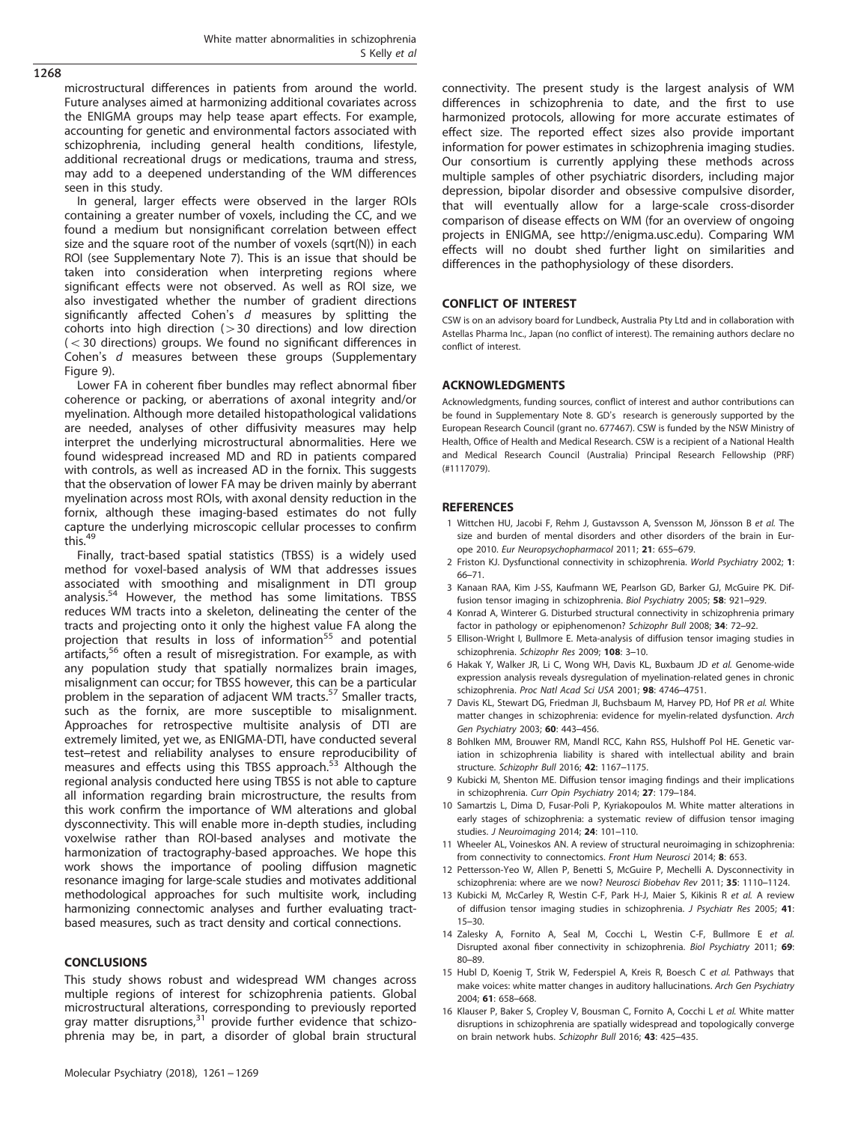#### <span id="page-7-0"></span>1268

microstructural differences in patients from around the world. Future analyses aimed at harmonizing additional covariates across the ENIGMA groups may help tease apart effects. For example, accounting for genetic and environmental factors associated with schizophrenia, including general health conditions, lifestyle, additional recreational drugs or medications, trauma and stress, may add to a deepened understanding of the WM differences seen in this study.

In general, larger effects were observed in the larger ROIs containing a greater number of voxels, including the CC, and we found a medium but nonsignificant correlation between effect size and the square root of the number of voxels (sqrt(N)) in each ROI (see Supplementary Note 7). This is an issue that should be taken into consideration when interpreting regions where significant effects were not observed. As well as ROI size, we also investigated whether the number of gradient directions significantly affected Cohen's d measures by splitting the cohorts into high direction  $(>30$  directions) and low direction  $(<$ 30 directions) groups. We found no significant differences in Cohen's d measures between these groups (Supplementary Figure 9).

Lower FA in coherent fiber bundles may reflect abnormal fiber coherence or packing, or aberrations of axonal integrity and/or myelination. Although more detailed histopathological validations are needed, analyses of other diffusivity measures may help interpret the underlying microstructural abnormalities. Here we found widespread increased MD and RD in patients compared with controls, as well as increased AD in the fornix. This suggests that the observation of lower FA may be driven mainly by aberrant myelination across most ROIs, with axonal density reduction in the fornix, although these imaging-based estimates do not fully capture the underlying microscopic cellular processes to confirm this.<sup>[49](#page-8-0)</sup>

Finally, tract-based spatial statistics (TBSS) is a widely used method for voxel-based analysis of WM that addresses issues associated with smoothing and misalignment in DTI group analysis.<sup>54</sup> However, the method has some limitations. TBSS reduces WM tracts into a skeleton, delineating the center of the tracts and projecting onto it only the highest value FA along the projection that results in loss of information<sup>[55](#page-8-0)</sup> and potential artifacts,<sup>[56](#page-8-0)</sup> often a result of misregistration. For example, as with any population study that spatially normalizes brain images, misalignment can occur; for TBSS however, this can be a particular<br>problem in the separation of adjacent WM tracts.<sup>[57](#page-8-0)</sup> Smaller tracts, such as the fornix, are more susceptible to misalignment. Approaches for retrospective multisite analysis of DTI are extremely limited, yet we, as ENIGMA-DTI, have conducted several test–retest and reliability analyses to ensure reproducibility of measures and effects using this TBSS approach.<sup>[53](#page-8-0)</sup> Although the regional analysis conducted here using TBSS is not able to capture all information regarding brain microstructure, the results from this work confirm the importance of WM alterations and global dysconnectivity. This will enable more in-depth studies, including voxelwise rather than ROI-based analyses and motivate the harmonization of tractography-based approaches. We hope this work shows the importance of pooling diffusion magnetic resonance imaging for large-scale studies and motivates additional methodological approaches for such multisite work, including harmonizing connectomic analyses and further evaluating tractbased measures, such as tract density and cortical connections.

# **CONCLUSIONS**

This study shows robust and widespread WM changes across multiple regions of interest for schizophrenia patients. Global microstructural alterations, corresponding to previously reported gray matter disruptions, $31$  provide further evidence that schizophrenia may be, in part, a disorder of global brain structural connectivity. The present study is the largest analysis of WM differences in schizophrenia to date, and the first to use harmonized protocols, allowing for more accurate estimates of effect size. The reported effect sizes also provide important information for power estimates in schizophrenia imaging studies. Our consortium is currently applying these methods across multiple samples of other psychiatric disorders, including major depression, bipolar disorder and obsessive compulsive disorder, that will eventually allow for a large-scale cross-disorder comparison of disease effects on WM (for an overview of ongoing projects in ENIGMA, see [http://enigma.usc.edu\)](http://enigma.usc.edu). Comparing WM effects will no doubt shed further light on similarities and differences in the pathophysiology of these disorders.

## CONFLICT OF INTEREST

CSW is on an advisory board for Lundbeck, Australia Pty Ltd and in collaboration with Astellas Pharma Inc., Japan (no conflict of interest). The remaining authors declare no conflict of interest.

## ACKNOWLEDGMENTS

Acknowledgments, funding sources, conflict of interest and author contributions can be found in Supplementary Note 8. GD's research is generously supported by the European Research Council (grant no. 677467). CSW is funded by the NSW Ministry of Health, Office of Health and Medical Research. CSW is a recipient of a National Health and Medical Research Council (Australia) Principal Research Fellowship (PRF) (#1117079).

## **REFERENCES**

- 1 Wittchen HU, Jacobi F, Rehm J, Gustavsson A, Svensson M, Jönsson B et al. The size and burden of mental disorders and other disorders of the brain in Europe 2010. Eur Neuropsychopharmacol 2011; 21: 655–679.
- 2 Friston KJ. Dysfunctional connectivity in schizophrenia. World Psychiatry 2002; 1: 66–71.
- 3 Kanaan RAA, Kim J-SS, Kaufmann WE, Pearlson GD, Barker GJ, McGuire PK. Diffusion tensor imaging in schizophrenia. Biol Psychiatry 2005; 58: 921–929.
- 4 Konrad A, Winterer G. Disturbed structural connectivity in schizophrenia primary factor in pathology or epiphenomenon? Schizophr Bull 2008; 34: 72–92.
- 5 Ellison-Wright I, Bullmore E. Meta-analysis of diffusion tensor imaging studies in schizophrenia. Schizophr Res 2009; 108: 3–10.
- 6 Hakak Y, Walker JR, Li C, Wong WH, Davis KL, Buxbaum JD et al. Genome-wide expression analysis reveals dysregulation of myelination-related genes in chronic schizophrenia. Proc Natl Acad Sci USA 2001; 98: 4746–4751.
- Davis KL, Stewart DG, Friedman JI, Buchsbaum M, Harvey PD, Hof PR et al. White matter changes in schizophrenia: evidence for myelin-related dysfunction. Arch Gen Psychiatry 2003; 60: 443–456.
- 8 Bohlken MM, Brouwer RM, Mandl RCC, Kahn RSS, Hulshoff Pol HE. Genetic variation in schizophrenia liability is shared with intellectual ability and brain structure. Schizophr Bull 2016; 42: 1167–1175.
- 9 Kubicki M, Shenton ME. Diffusion tensor imaging findings and their implications in schizophrenia. Curr Opin Psychiatry 2014; 27: 179–184.
- 10 Samartzis L, Dima D, Fusar-Poli P, Kyriakopoulos M. White matter alterations in early stages of schizophrenia: a systematic review of diffusion tensor imaging studies. J Neuroimaging 2014; 24: 101–110.
- 11 Wheeler AL, Voineskos AN. A review of structural neuroimaging in schizophrenia: from connectivity to connectomics. Front Hum Neurosci 2014; 8: 653.
- 12 Pettersson-Yeo W, Allen P, Benetti S, McGuire P, Mechelli A. Dysconnectivity in schizophrenia: where are we now? Neurosci Biobehav Rev 2011; 35: 1110–1124.
- 13 Kubicki M, McCarley R, Westin C-F, Park H-J, Maier S, Kikinis R et al. A review of diffusion tensor imaging studies in schizophrenia. J Psychiatr Res 2005; 41: 15–30.
- 14 Zalesky A, Fornito A, Seal M, Cocchi L, Westin C-F, Bullmore E et al. Disrupted axonal fiber connectivity in schizophrenia. Biol Psychiatry 2011; 69: 80–89.
- 15 Hubl D, Koenig T, Strik W, Federspiel A, Kreis R, Boesch C et al. Pathways that make voices: white matter changes in auditory hallucinations. Arch Gen Psychiatry 2004; 61: 658–668.
- 16 Klauser P, Baker S, Cropley V, Bousman C, Fornito A, Cocchi L et al. White matter disruptions in schizophrenia are spatially widespread and topologically converge on brain network hubs. Schizophr Bull 2016; 43: 425–435.